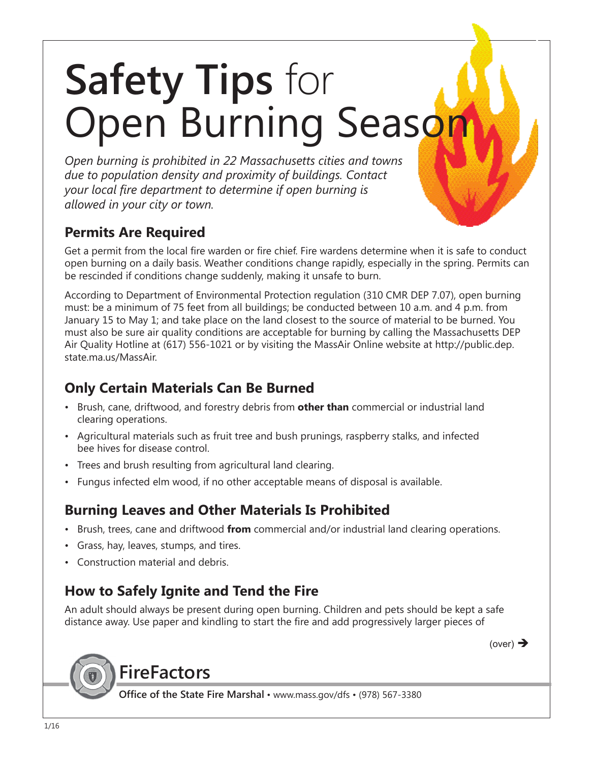# **Safety Tips** for Open Burning Season

*Open burning is prohibited in 22 Massachusetts cities and towns due to population density and proximity of buildings. Contact your local fire department to determine if open burning is allowed in your city or town.*

#### **Permits Are Required**

Get a permit from the local fire warden or fire chief. Fire wardens determine when it is safe to conduct open burning on a daily basis. Weather conditions change rapidly, especially in the spring. Permits can be rescinded if conditions change suddenly, making it unsafe to burn.

According to Department of Environmental Protection regulation (310 CMR DEP 7.07), open burning must: be a minimum of 75 feet from all buildings; be conducted between 10 a.m. and 4 p.m. from January 15 to May 1; and take place on the land closest to the source of material to be burned. You must also be sure air quality conditions are acceptable for burning by calling the Massachusetts DEP Air Quality Hotline at (617) 556-1021 or by visiting the MassAir Online website at http://public.dep. state.ma.us/MassAir.

#### **Only Certain Materials Can Be Burned**

- Brush, cane, driftwood, and forestry debris from **other than** commercial or industrial land clearing operations.
- Agricultural materials such as fruit tree and bush prunings, raspberry stalks, and infected bee hives for disease control.
- Trees and brush resulting from agricultural land clearing.
- Fungus infected elm wood, if no other acceptable means of disposal is available.

#### **Burning Leaves and Other Materials Is Prohibited**

- Brush, trees, cane and driftwood **from** commercial and/or industrial land clearing operations.
- Grass, hay, leaves, stumps, and tires.
- Construction material and debris.

#### **How to Safely Ignite and Tend the Fire**

An adult should always be present during open burning. Children and pets should be kept a safe distance away. Use paper and kindling to start the fire and add progressively larger pieces of

(over)  $\rightarrow$ 

## **FireFactors**

**Office of the State Fire Marshal** • www.mass.gov/dfs • (978) 567-3380